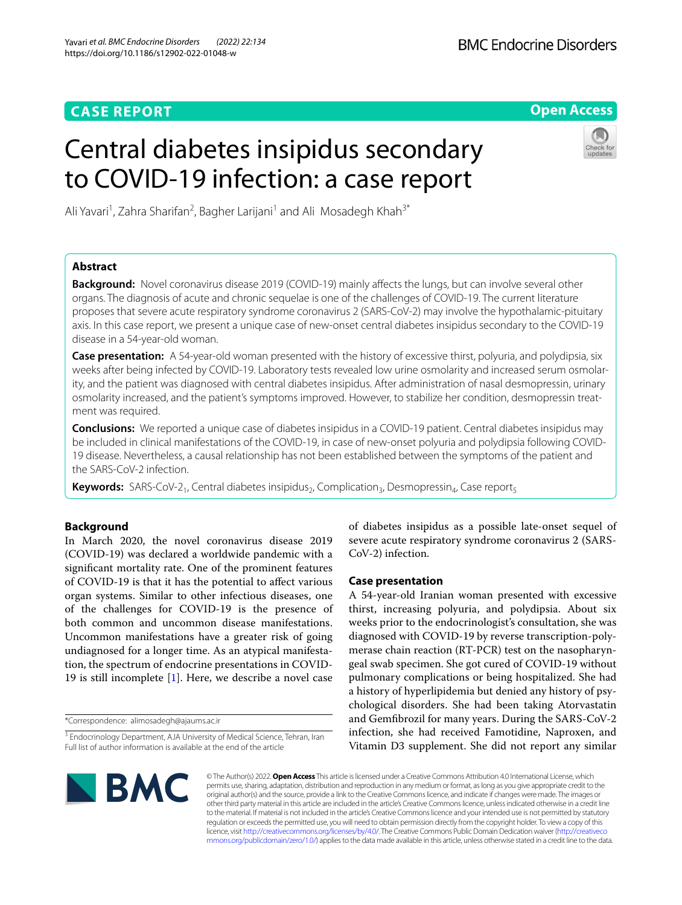## **CASE REPORT**

**Open Access**

# Central diabetes insipidus secondary to COVID-19 infection: a case report



Ali Yavari<sup>1</sup>, Zahra Sharifan<sup>2</sup>, Bagher Larijani<sup>1</sup> and Ali Mosadegh Khah<sup>3\*</sup>

## **Abstract**

**Background:** Novel coronavirus disease 2019 (COVID-19) mainly afects the lungs, but can involve several other organs. The diagnosis of acute and chronic sequelae is one of the challenges of COVID-19. The current literature proposes that severe acute respiratory syndrome coronavirus 2 (SARS-CoV-2) may involve the hypothalamic-pituitary axis. In this case report, we present a unique case of new-onset central diabetes insipidus secondary to the COVID-19 disease in a 54-year-old woman.

**Case presentation:** A 54-year-old woman presented with the history of excessive thirst, polyuria, and polydipsia, six weeks after being infected by COVID-19. Laboratory tests revealed low urine osmolarity and increased serum osmolarity, and the patient was diagnosed with central diabetes insipidus. After administration of nasal desmopressin, urinary osmolarity increased, and the patient's symptoms improved. However, to stabilize her condition, desmopressin treatment was required.

**Conclusions:** We reported a unique case of diabetes insipidus in a COVID-19 patient. Central diabetes insipidus may be included in clinical manifestations of the COVID-19, in case of new-onset polyuria and polydipsia following COVID-19 disease. Nevertheless, a causal relationship has not been established between the symptoms of the patient and the SARS-CoV-2 infection.

**Keywords:** SARS-CoV-2<sub>1</sub>, Central diabetes insipidus<sub>2</sub>, Complication<sub>3</sub>, Desmopressin<sub>4</sub>, Case report<sub>5</sub>

## **Background**

In March 2020, the novel coronavirus disease 2019 (COVID-19) was declared a worldwide pandemic with a signifcant mortality rate. One of the prominent features of COVID-19 is that it has the potential to afect various organ systems. Similar to other infectious diseases, one of the challenges for COVID-19 is the presence of both common and uncommon disease manifestations. Uncommon manifestations have a greater risk of going undiagnosed for a longer time. As an atypical manifestation, the spectrum of endocrine presentations in COVID-19 is still incomplete [\[1](#page-2-0)]. Here, we describe a novel case

\*Correspondence: alimosadegh@ajaums.ac.ir

of diabetes insipidus as a possible late-onset sequel of severe acute respiratory syndrome coronavirus 2 (SARS-CoV-2) infection.

## **Case presentation**

A 54-year-old Iranian woman presented with excessive thirst, increasing polyuria, and polydipsia. About six weeks prior to the endocrinologist's consultation, she was diagnosed with COVID-19 by reverse transcription-polymerase chain reaction (RT-PCR) test on the nasopharyngeal swab specimen. She got cured of COVID-19 without pulmonary complications or being hospitalized. She had a history of hyperlipidemia but denied any history of psychological disorders. She had been taking Atorvastatin and Gemfbrozil for many years. During the SARS-CoV-2 infection, she had received Famotidine, Naproxen, and Vitamin D3 supplement. She did not report any similar



© The Author(s) 2022. **Open Access** This article is licensed under a Creative Commons Attribution 4.0 International License, which permits use, sharing, adaptation, distribution and reproduction in any medium or format, as long as you give appropriate credit to the original author(s) and the source, provide a link to the Creative Commons licence, and indicate if changes were made. The images or other third party material in this article are included in the article's Creative Commons licence, unless indicated otherwise in a credit line to the material. If material is not included in the article's Creative Commons licence and your intended use is not permitted by statutory regulation or exceeds the permitted use, you will need to obtain permission directly from the copyright holder. To view a copy of this licence, visit [http://creativecommons.org/licenses/by/4.0/.](http://creativecommons.org/licenses/by/4.0/) The Creative Commons Public Domain Dedication waiver ([http://creativeco](http://creativecommons.org/publicdomain/zero/1.0/) [mmons.org/publicdomain/zero/1.0/](http://creativecommons.org/publicdomain/zero/1.0/)) applies to the data made available in this article, unless otherwise stated in a credit line to the data.

<sup>&</sup>lt;sup>3</sup> Endocrinology Department, AJA University of Medical Science, Tehran, Iran Full list of author information is available at the end of the article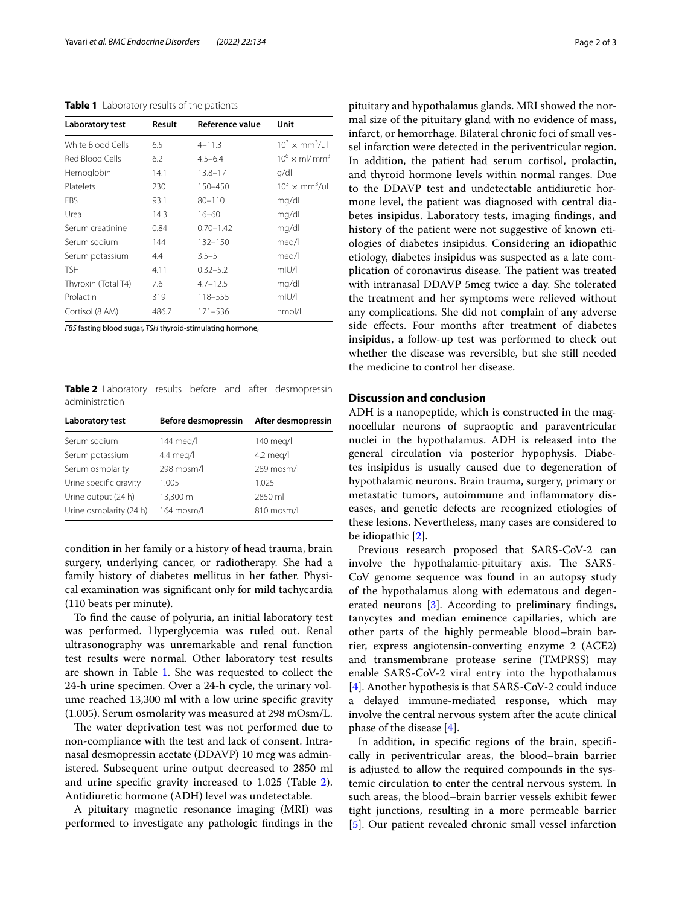<span id="page-1-0"></span>

| Laboratory test     | Result | Reference value | Unit                                |
|---------------------|--------|-----------------|-------------------------------------|
| White Blood Cells   | 6.5    | $4 - 11.3$      | $10^3 \times \text{mm}^3/\text{ul}$ |
| Red Blood Cells     | 6.2    | $4.5 - 6.4$     | $10^6 \times$ ml/mm <sup>3</sup>    |
| Hemoglobin          | 14.1   | $13.8 - 17$     | q/dl                                |
| Platelets           | 230    | 150-450         | $10^3 \times \text{mm}^3/\text{ul}$ |
| <b>FBS</b>          | 93.1   | $80 - 110$      | mg/dl                               |
| Urea                | 14.3   | $16 - 60$       | mg/dl                               |
| Serum creatinine    | 0.84   | $0.70 - 1.42$   | mg/dl                               |
| Serum sodium        | 144    | $132 - 150$     | meg/l                               |
| Serum potassium     | 4.4    | $3.5 - 5$       | meg/l                               |
| <b>TSH</b>          | 4.11   | $0.32 - 5.2$    | mIU/I                               |
| Thyroxin (Total T4) | 7.6    | $4.7 - 12.5$    | mg/dl                               |
| Prolactin           | 319    | 118-555         | mIU/I                               |
| Cortisol (8 AM)     | 486.7  | 171–536         | nmol/l                              |

*FBS* fasting blood sugar, *TSH* thyroid-stimulating hormone,

<span id="page-1-1"></span>**Table 2** Laboratory results before and after desmopressin administration

| <b>Laboratory test</b>  | Before desmopressin | After desmopressin |
|-------------------------|---------------------|--------------------|
| Serum sodium            | 144 meg/l           | 140 meg/l          |
| Serum potassium         | 4.4 meg/l           | $4.2$ meg/l        |
| Serum osmolarity        | 298 mosm/l          | 289 mosm/l         |
| Urine specific gravity  | 1.005               | 1.025              |
| Urine output (24 h)     | 13,300 ml           | 2850 ml            |
| Urine osmolarity (24 h) | 164 mosm/l          | 810 mosm/l         |

condition in her family or a history of head trauma, brain surgery, underlying cancer, or radiotherapy. She had a family history of diabetes mellitus in her father. Physical examination was signifcant only for mild tachycardia (110 beats per minute).

To fnd the cause of polyuria, an initial laboratory test was performed. Hyperglycemia was ruled out. Renal ultrasonography was unremarkable and renal function test results were normal. Other laboratory test results are shown in Table [1.](#page-1-0) She was requested to collect the 24-h urine specimen. Over a 24-h cycle, the urinary volume reached 13,300 ml with a low urine specifc gravity (1.005). Serum osmolarity was measured at 298 mOsm/L.

The water deprivation test was not performed due to non-compliance with the test and lack of consent. Intranasal desmopressin acetate (DDAVP) 10 mcg was administered. Subsequent urine output decreased to 2850 ml and urine specifc gravity increased to 1.025 (Table [2](#page-1-1)). Antidiuretic hormone (ADH) level was undetectable.

A pituitary magnetic resonance imaging (MRI) was performed to investigate any pathologic fndings in the pituitary and hypothalamus glands. MRI showed the normal size of the pituitary gland with no evidence of mass, infarct, or hemorrhage. Bilateral chronic foci of small vessel infarction were detected in the periventricular region. In addition, the patient had serum cortisol, prolactin, and thyroid hormone levels within normal ranges. Due to the DDAVP test and undetectable antidiuretic hormone level, the patient was diagnosed with central diabetes insipidus. Laboratory tests, imaging fndings, and history of the patient were not suggestive of known etiologies of diabetes insipidus. Considering an idiopathic etiology, diabetes insipidus was suspected as a late complication of coronavirus disease. The patient was treated with intranasal DDAVP 5mcg twice a day. She tolerated the treatment and her symptoms were relieved without any complications. She did not complain of any adverse side efects. Four months after treatment of diabetes insipidus, a follow-up test was performed to check out whether the disease was reversible, but she still needed the medicine to control her disease.

## **Discussion and conclusion**

ADH is a nanopeptide, which is constructed in the magnocellular neurons of supraoptic and paraventricular nuclei in the hypothalamus. ADH is released into the general circulation via posterior hypophysis. Diabetes insipidus is usually caused due to degeneration of hypothalamic neurons. Brain trauma, surgery, primary or metastatic tumors, autoimmune and infammatory diseases, and genetic defects are recognized etiologies of these lesions. Nevertheless, many cases are considered to be idiopathic [\[2](#page-2-1)].

Previous research proposed that SARS-CoV-2 can involve the hypothalamic-pituitary axis. The SARS-CoV genome sequence was found in an autopsy study of the hypothalamus along with edematous and degenerated neurons [\[3\]](#page-2-2). According to preliminary fndings, tanycytes and median eminence capillaries, which are other parts of the highly permeable blood–brain barrier, express angiotensin-converting enzyme 2 (ACE2) and transmembrane protease serine (TMPRSS) may enable SARS-CoV-2 viral entry into the hypothalamus [[4\]](#page-2-3). Another hypothesis is that SARS-CoV-2 could induce a delayed immune-mediated response, which may involve the central nervous system after the acute clinical phase of the disease [\[4\]](#page-2-3).

In addition, in specifc regions of the brain, specifcally in periventricular areas, the blood–brain barrier is adjusted to allow the required compounds in the systemic circulation to enter the central nervous system. In such areas, the blood–brain barrier vessels exhibit fewer tight junctions, resulting in a more permeable barrier [[5\]](#page-2-4). Our patient revealed chronic small vessel infarction